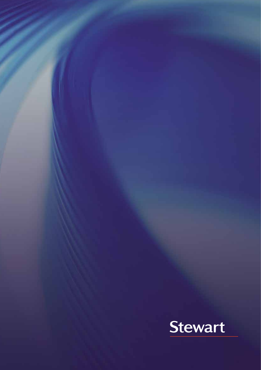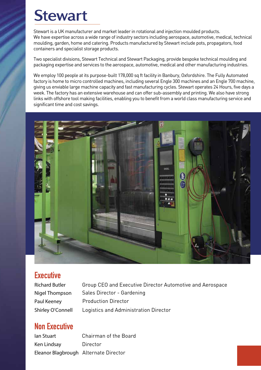# **Stewart**

Stewart is a UK manufacturer and market leader in rotational and injection moulded products. We have expertise across a wide range of industry sectors including aerospace, automotive, medical, technical moulding, garden, home and catering. Products manufactured by Stewart include pots, propagators, food containers and specialist storage products.

Two specialist divisions, Stewart Technical and Stewart Packaging, provide bespoke technical moulding and packaging expertise and services to the aerospace, automotive, medical and other manufacturing industries.

We employ 100 people at its purpose-built 178,000 sq ft facility in Banbury, Oxfordshire. The Fully Automated factory is home to micro controlled machines, including several Engle 300 machines and an Engle 700 machine, giving us enviable large machine capacity and fast manufacturing cycles. Stewart operates 24 Hours, five days a week. The factory has an extensive warehouse and can offer sub-assembly and printing. We also have strong links with offshore tool making facilities, enabling you to benefit from a world class manufacturing service and significant time and cost savings.



### **Executive**

| <b>Richard Butler</b> | Group CEO and Executive Director Automotive and Aerospace |
|-----------------------|-----------------------------------------------------------|
| Nigel Thompson        | Sales Director - Gardening                                |
| Paul Keeney           | <b>Production Director</b>                                |
| Shirley O'Connell     | Logistics and Administration Director                     |

### Non Executive

**Ian Stuart** Chairman of the Board **Ken Lindsay** Director **Eleanor Blagbrough** Alternate Director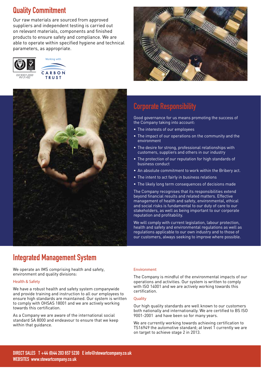### Quality Commitment

Our raw materials are sourced from approved suppliers and independent testing is carried out on relevant materials, components and finished products to ensure safety and compliance. We are able to operate within specified hygiene and technical parameters, as appropriate.







### Corporate Responsibility

Good governance for us means promoting the success of the Company taking into account:

- The interests of our employees
- The impact of our operations on the community and the environment
- The desire for strong, professional relationships with customers, suppliers and others in our industry
- The protection of our reputation for high standards of business conduct
- An absolute commitment to work within the Bribery act.
- The intent to act fairly in business relations
- The likely long term consequences of decisions made

The Company recognises that its responsibilities extend beyond financial results and related matters. Effective management of health and safety, environmental, ethical and social risks is fundamental to our duty of care to our stakeholders, as well as being important to our corporate reputation and profitability.

We will comply with current legislation, labour protection, health and safety and environmental regulations as well as regulations applicable to our own industry and to those of our customers, always seeking to improve where possible.

### Integrated Management System

We operate an IMS comprising health and safety, environment and quality divisions:

#### Health & Safety

We have a robust health and safety system companywide and provide training and instruction to all our employees to ensure high standards are maintained. Our system is written to comply with OHSAS 18001 and we are actively working towards this certification.

As a Company we are aware of the international social standard SA 8000 and endeavour to ensure that we keep within that guidance.

#### Environment

The Company is mindful of the environmental impacts of our operations and activities. Our system is written to comply with ISO 14001 and we are actively working towards this certification.

#### **Quality**

Our high quality standards are well known to our customers both nationally and internationally. We are certified to BS ISO 9001-2001 and have been so for many years.

We are currently working towards achieving certification to TS16949 the automotive standard; at level 1 currently we are on target to achieve stage 2 in 2013.